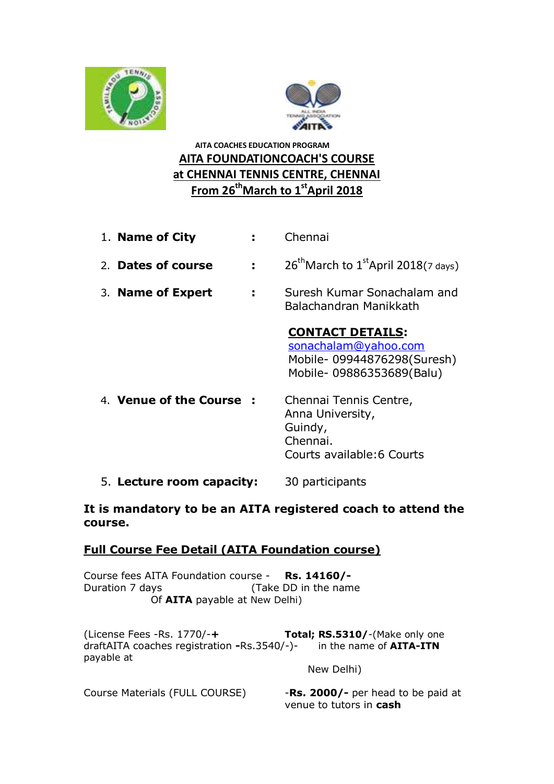



# **AITA COACHES EDUCATION PROGRAM AITA FOUNDATIONCOACH'S COURSE at CHENNAI TENNIS CENTRE, CHENNAI From 26thMarch to 1 stApril 2018**

- 1. **Name of City :** Chennai
- 2. **Dates of course**  $\cdot$   $26^{th}$ March to  $1^{st}$ April 2018(7 days)
- 3. **Name of Expert :** Suresh Kumar Sonachalam and Balachandran Manikkath

# **CONTACT DETAILS:**

[sonachalam@yahoo.com](mailto:sonachalam@yahoo.com) Mobile- 09944876298(Suresh) Mobile- 09886353689(Balu)

- 4. **Venue of the Course :** Chennai Tennis Centre, Anna University, Guindy, Chennai. Courts available:6 Courts
- 5. **Lecture room capacity:** 30 participants

### **It is mandatory to be an AITA registered coach to attend the course.**

### **Full Course Fee Detail (AITA Foundation course)**

Course fees AITA Foundation course - **Rs. 14160/-** Duration 7 days (Take DD in the name Of **AITA** payable at New Delhi)

(License Fees -Rs. 1770/-**+ Total; RS.5310/**-(Make only one draftAITA coaches registration **-**Rs.3540/-)- in the name of **AITA-ITN** payable at

New Delhi)

Course Materials (FULL COURSE) - **Rs. 2000/-** per head to be paid at venue to tutors in **cash**